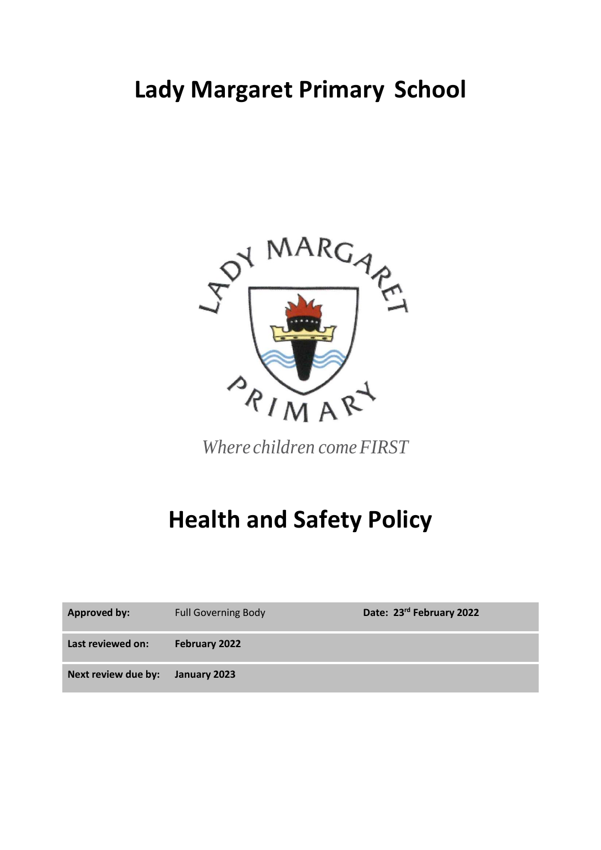## **Lady Margaret Primary School**



*Where children comeFIRST*

# **Health and Safety Policy**

| <b>Approved by:</b> | <b>Full Governing Body</b> | Date: 23rd February 2022 |
|---------------------|----------------------------|--------------------------|
| Last reviewed on:   | February 2022              |                          |
| Next review due by: | January 2023               |                          |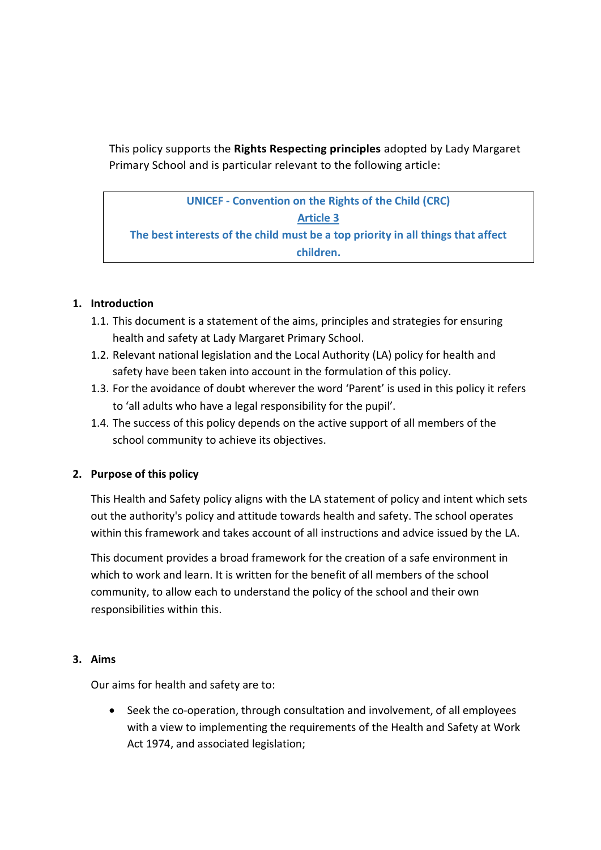This policy supports the **Rights Respecting principles** adopted by Lady Margaret Primary School and is particular relevant to the following article:

**UNICEF - Convention on the Rights of the Child (CRC) Article 3 The best interests of the child must be a top priority in all things that affect children.**

## **1. Introduction**

- 1.1. This document is a statement of the aims, principles and strategies for ensuring health and safety at Lady Margaret Primary School.
- 1.2. Relevant national legislation and the Local Authority (LA) policy for health and safety have been taken into account in the formulation of this policy.
- 1.3. For the avoidance of doubt wherever the word 'Parent' is used in this policy it refers to 'all adults who have a legal responsibility for the pupil'.
- 1.4. The success of this policy depends on the active support of all members of the school community to achieve its objectives.

## **2. Purpose of this policy**

This Health and Safety policy aligns with the LA statement of policy and intent which sets out the authority's policy and attitude towards health and safety. The school operates within this framework and takes account of all instructions and advice issued by the LA.

This document provides a broad framework for the creation of a safe environment in which to work and learn. It is written for the benefit of all members of the school community, to allow each to understand the policy of the school and their own responsibilities within this.

#### **3. Aims**

Our aims for health and safety are to:

 Seek the co-operation, through consultation and involvement, of all employees with a view to implementing the requirements of the Health and Safety at Work Act 1974, and associated legislation;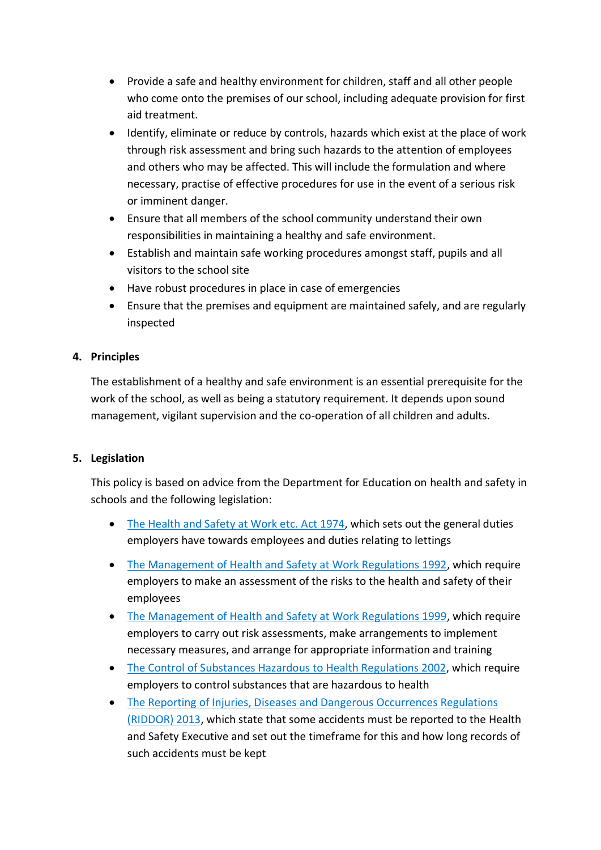- Provide a safe and healthy environment for children, staff and all other people who come onto the premises of our school, including adequate provision for first aid treatment.
- Identify, eliminate or reduce by controls, hazards which exist at the place of work through risk assessment and bring such hazards to the attention of employees and others who may be affected. This will include the formulation and where necessary, practise of effective procedures for use in the event of a serious risk or imminent danger.
- Ensure that all members of the school community understand their own responsibilities in maintaining a healthy and safe environment.
- Establish and maintain safe working procedures amongst staff, pupils and all visitors to the school site
- Have robust procedures in place in case of emergencies
- Ensure that the premises and equipment are maintained safely, and are regularly inspected

## **4. Principles**

The establishment of a healthy and safe environment is an essential prerequisite for the work of the school, as well as being a statutory requirement. It depends upon sound management, vigilant supervision and the co-operation of all children and adults.

## **5. Legislation**

This policy is based on advice from the Department for Education on [health and safety in](https://www.gov.uk/government/publications/health-and-safety-advice-for-schools)  [schools](https://www.gov.uk/government/publications/health-and-safety-advice-for-schools) and the following legislation:

- [The Health and Safety at Work etc. Act 1974,](http://www.legislation.gov.uk/ukpga/1974/37) which sets out the general duties employers have towards employees and duties relating to lettings
- [The Management of Health and Safety at Work Regulations 1992,](http://www.legislation.gov.uk/uksi/1992/2051/regulation/3/made) which require employers to make an assessment of the risks to the health and safety of their employees
- [The Management of Health and Safety at Work Regulations 1999,](http://www.legislation.gov.uk/uksi/1999/3242/contents/made) which require employers to carry out risk assessments, make arrangements to implement necessary measures, and arrange for appropriate information and training
- [The Control of Substances Hazardous to Health Regulations 2002,](http://www.legislation.gov.uk/uksi/2002/2677/contents/made) which require employers to control substances that are hazardous to health
- [The Reporting of Injuries, Diseases and Dangerous Occurrences Regulations](http://www.legislation.gov.uk/uksi/2013/1471/schedule/1/paragraph/1/made)  [\(RIDDOR\) 2013,](http://www.legislation.gov.uk/uksi/2013/1471/schedule/1/paragraph/1/made) which state that some accidents must be reported to the Health and Safety Executive and set out the timeframe for this and how long records of such accidents must be kept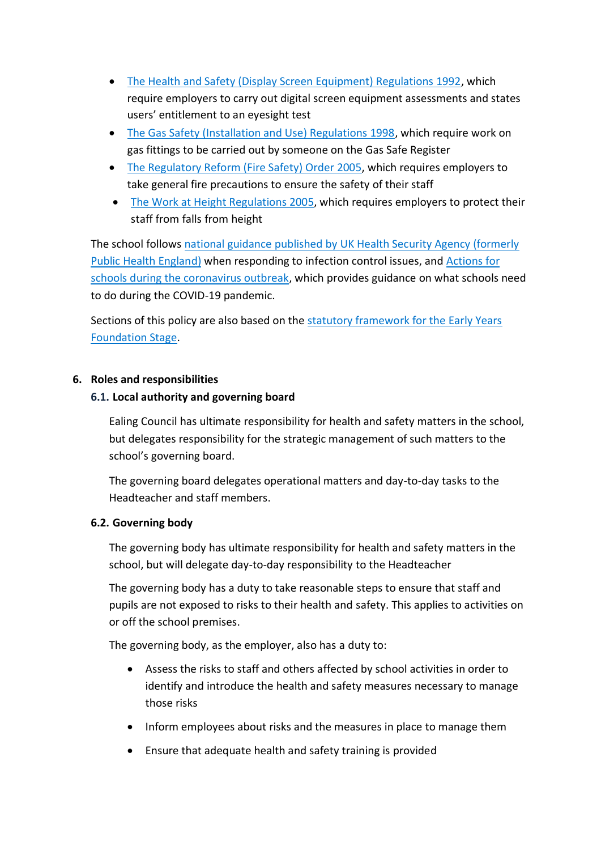- [The Health and Safety \(Display Screen Equipment\) Regulations 1992,](http://www.legislation.gov.uk/uksi/1992/2792/contents/made) which require employers to carry out digital screen equipment assessments and states users' entitlement to an eyesight test
- [The Gas Safety \(Installation and Use\) Regulations 1998,](http://www.legislation.gov.uk/uksi/1998/2451/regulation/4/made) which require work on gas fittings to be carried out by someone on the Gas Safe Register
- [The Regulatory Reform \(Fire Safety\) Order 2005,](http://www.legislation.gov.uk/uksi/2005/1541/part/2/made) which requires employers to take general fire precautions to ensure the safety of their staff
- [The Work at Height Regulations 2005,](http://www.legislation.gov.uk/uksi/2005/735/contents/made) which requires employers to protect their staff from falls from height

The school follows [national guidance published by UK Health Security Agency \(formerly](https://www.gov.uk/government/publications/health-protection-in-schools-and-other-childcare-facilities/chapter-9-managing-specific-infectious-diseases)  [Public Health England\)](https://www.gov.uk/government/publications/health-protection-in-schools-and-other-childcare-facilities/chapter-9-managing-specific-infectious-diseases) when responding to infection control issues, and [Actions for](https://www.gov.uk/government/publications/actions-for-schools-during-the-coronavirus-outbreak/schools-covid-19-operational-guidance)  [schools during the coronavirus outbreak,](https://www.gov.uk/government/publications/actions-for-schools-during-the-coronavirus-outbreak/schools-covid-19-operational-guidance) which provides guidance on what schools need to do during the COVID-19 pandemic.

Sections of this policy are also based on the [statutory framework for the Early Years](https://www.gov.uk/government/publications/early-years-foundation-stage-framework--2)  [Foundation Stage.](https://www.gov.uk/government/publications/early-years-foundation-stage-framework--2)

## **6. Roles and responsibilities**

## **6.1. Local authority and governing board**

Ealing Council has ultimate responsibility for health and safety matters in the school, but delegates responsibility for the strategic management of such matters to the school's governing board.

The governing board delegates operational matters and day-to-day tasks to the Headteacher and staff members.

## **6.2. Governing body**

The governing body has ultimate responsibility for health and safety matters in the school, but will delegate day-to-day responsibility to the Headteacher

The governing body has a duty to take reasonable steps to ensure that staff and pupils are not exposed to risks to their health and safety. This applies to activities on or off the school premises.

The governing body, as the employer, also has a duty to:

- Assess the risks to staff and others affected by school activities in order to identify and introduce the health and safety measures necessary to manage those risks
- Inform employees about risks and the measures in place to manage them
- Ensure that adequate health and safety training is provided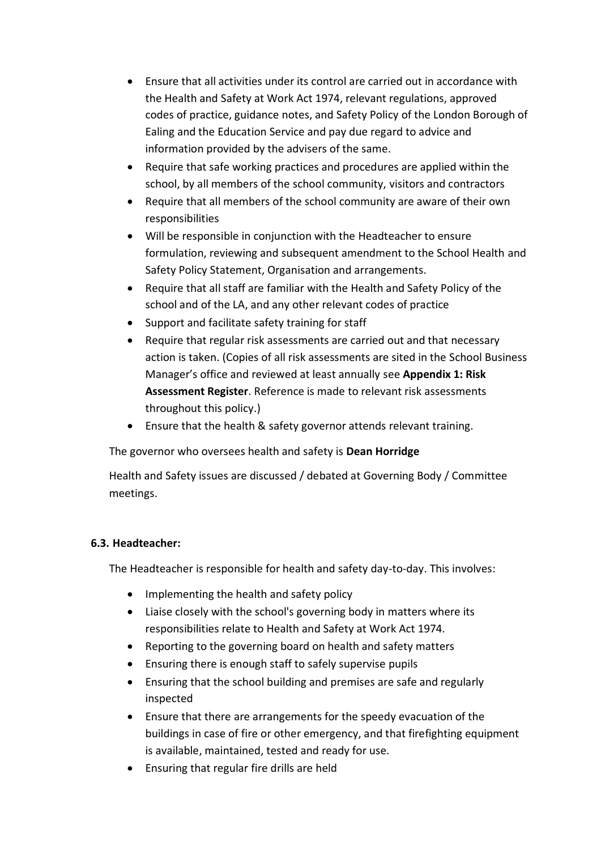- Ensure that all activities under its control are carried out in accordance with the Health and Safety at Work Act 1974, relevant regulations, approved codes of practice, guidance notes, and Safety Policy of the London Borough of Ealing and the Education Service and pay due regard to advice and information provided by the advisers of the same.
- Require that safe working practices and procedures are applied within the school, by all members of the school community, visitors and contractors
- Require that all members of the school community are aware of their own responsibilities
- Will be responsible in conjunction with the Headteacher to ensure formulation, reviewing and subsequent amendment to the School Health and Safety Policy Statement, Organisation and arrangements.
- Require that all staff are familiar with the Health and Safety Policy of the school and of the LA, and any other relevant codes of practice
- Support and facilitate safety training for staff
- Require that regular risk assessments are carried out and that necessary action is taken. (Copies of all risk assessments are sited in the School Business Manager's office and reviewed at least annually see **Appendix 1: Risk Assessment Register**. Reference is made to relevant risk assessments throughout this policy.)
- Ensure that the health & safety governor attends relevant training.

The governor who oversees health and safety is **Dean Horridge**

Health and Safety issues are discussed / debated at Governing Body / Committee meetings.

## **6.3. Headteacher:**

The Headteacher is responsible for health and safety day-to-day. This involves:

- Implementing the health and safety policy
- Liaise closely with the school's governing body in matters where its responsibilities relate to Health and Safety at Work Act 1974.
- Reporting to the governing board on health and safety matters
- Ensuring there is enough staff to safely supervise pupils
- Ensuring that the school building and premises are safe and regularly inspected
- Ensure that there are arrangements for the speedy evacuation of the buildings in case of fire or other emergency, and that firefighting equipment is available, maintained, tested and ready for use.
- Ensuring that regular fire drills are held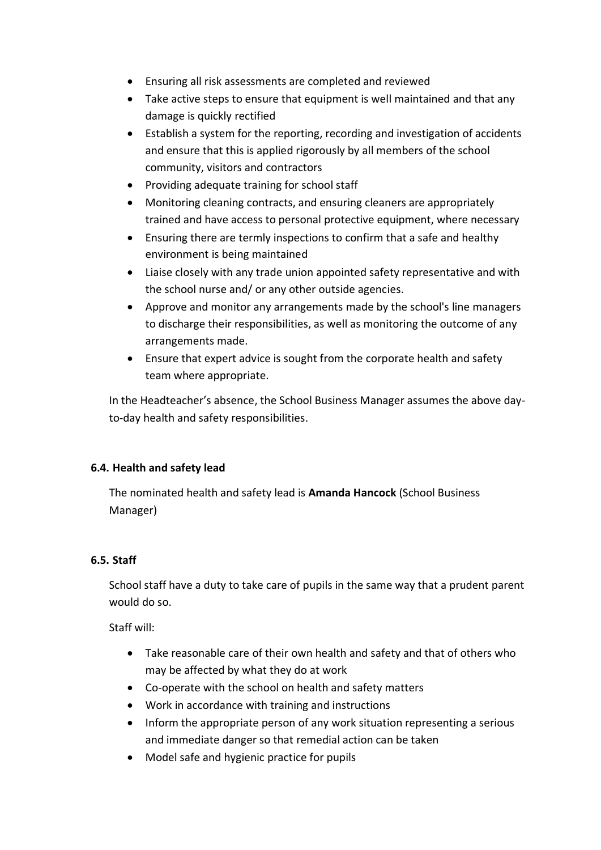- Ensuring all risk assessments are completed and reviewed
- Take active steps to ensure that equipment is well maintained and that any damage is quickly rectified
- Establish a system for the reporting, recording and investigation of accidents and ensure that this is applied rigorously by all members of the school community, visitors and contractors
- Providing adequate training for school staff
- Monitoring cleaning contracts, and ensuring cleaners are appropriately trained and have access to personal protective equipment, where necessary
- Ensuring there are termly inspections to confirm that a safe and healthy environment is being maintained
- Liaise closely with any trade union appointed safety representative and with the school nurse and/ or any other outside agencies.
- Approve and monitor any arrangements made by the school's line managers to discharge their responsibilities, as well as monitoring the outcome of any arrangements made.
- Ensure that expert advice is sought from the corporate health and safety team where appropriate.

In the Headteacher's absence, the School Business Manager assumes the above dayto-day health and safety responsibilities.

## **6.4. Health and safety lead**

The nominated health and safety lead is **Amanda Hancock** (School Business Manager)

## **6.5. Staff**

School staff have a duty to take care of pupils in the same way that a prudent parent would do so.

Staff will:

- Take reasonable care of their own health and safety and that of others who may be affected by what they do at work
- Co-operate with the school on health and safety matters
- Work in accordance with training and instructions
- Inform the appropriate person of any work situation representing a serious and immediate danger so that remedial action can be taken
- Model safe and hygienic practice for pupils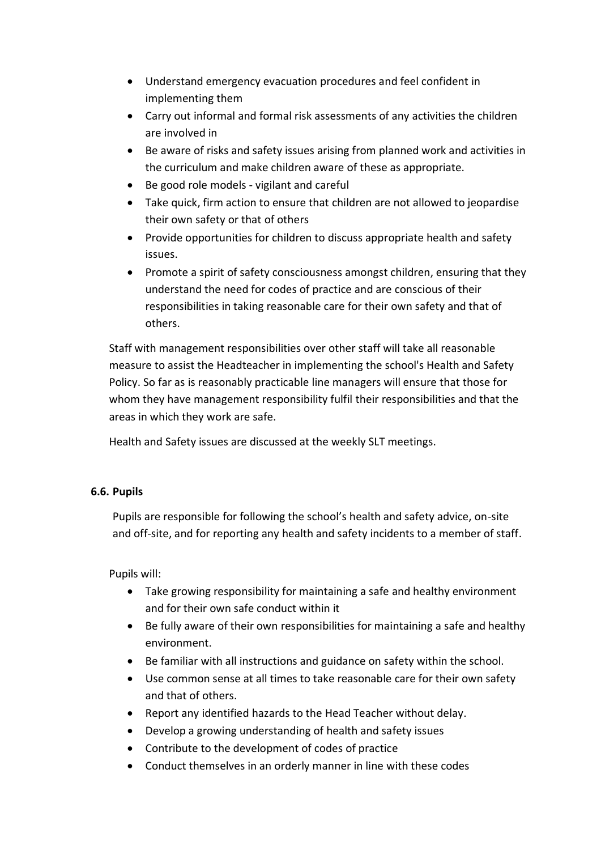- Understand emergency evacuation procedures and feel confident in implementing them
- Carry out informal and formal risk assessments of any activities the children are involved in
- Be aware of risks and safety issues arising from planned work and activities in the curriculum and make children aware of these as appropriate.
- Be good role models vigilant and careful
- Take quick, firm action to ensure that children are not allowed to jeopardise their own safety or that of others
- Provide opportunities for children to discuss appropriate health and safety issues.
- Promote a spirit of safety consciousness amongst children, ensuring that they understand the need for codes of practice and are conscious of their responsibilities in taking reasonable care for their own safety and that of others.

Staff with management responsibilities over other staff will take all reasonable measure to assist the Headteacher in implementing the school's Health and Safety Policy. So far as is reasonably practicable line managers will ensure that those for whom they have management responsibility fulfil their responsibilities and that the areas in which they work are safe.

Health and Safety issues are discussed at the weekly SLT meetings.

## **6.6. Pupils**

Pupils are responsible for following the school's health and safety advice, on-site and off-site, and for reporting any health and safety incidents to a member of staff.

Pupils will:

- Take growing responsibility for maintaining a safe and healthy environment and for their own safe conduct within it
- Be fully aware of their own responsibilities for maintaining a safe and healthy environment.
- Be familiar with all instructions and guidance on safety within the school.
- Use common sense at all times to take reasonable care for their own safety and that of others.
- Report any identified hazards to the Head Teacher without delay.
- Develop a growing understanding of health and safety issues
- Contribute to the development of codes of practice
- Conduct themselves in an orderly manner in line with these codes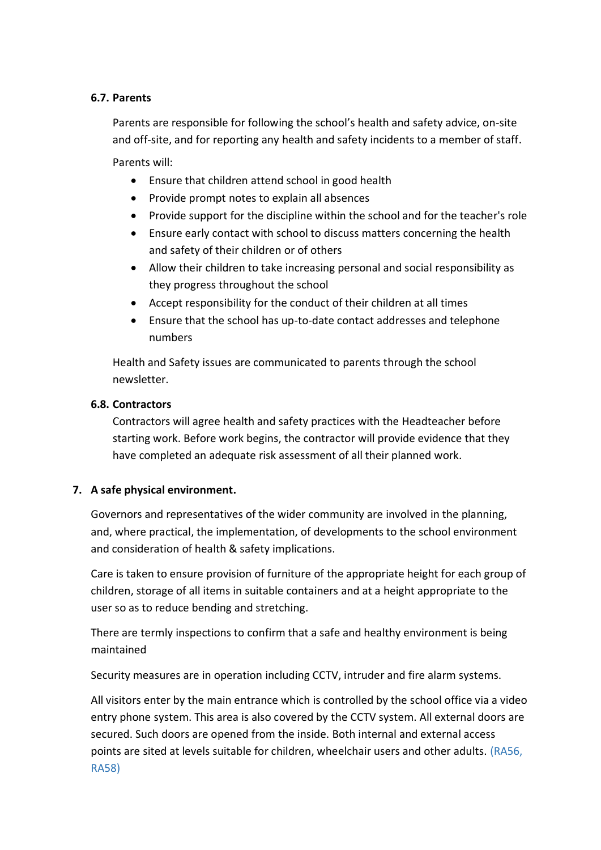#### **6.7. Parents**

Parents are responsible for following the school's health and safety advice, on-site and off-site, and for reporting any health and safety incidents to a member of staff. Parents will:

Ensure that children attend school in good health

- Provide prompt notes to explain all absences
- Provide support for the discipline within the school and for the teacher's role
- Ensure early contact with school to discuss matters concerning the health and safety of their children or of others
- Allow their children to take increasing personal and social responsibility as they progress throughout the school
- Accept responsibility for the conduct of their children at all times
- Ensure that the school has up-to-date contact addresses and telephone numbers

Health and Safety issues are communicated to parents through the school newsletter.

## **6.8. Contractors**

Contractors will agree health and safety practices with the Headteacher before starting work. Before work begins, the contractor will provide evidence that they have completed an adequate risk assessment of all their planned work.

## **7. A safe physical environment.**

Governors and representatives of the wider community are involved in the planning, and, where practical, the implementation, of developments to the school environment and consideration of health & safety implications.

Care is taken to ensure provision of furniture of the appropriate height for each group of children, storage of all items in suitable containers and at a height appropriate to the user so as to reduce bending and stretching.

There are termly inspections to confirm that a safe and healthy environment is being maintained

Security measures are in operation including CCTV, intruder and fire alarm systems.

All visitors enter by the main entrance which is controlled by the school office via a video entry phone system. This area is also covered by the CCTV system. All external doors are secured. Such doors are opened from the inside. Both internal and external access points are sited at levels suitable for children, wheelchair users and other adults. (RA56, RA58)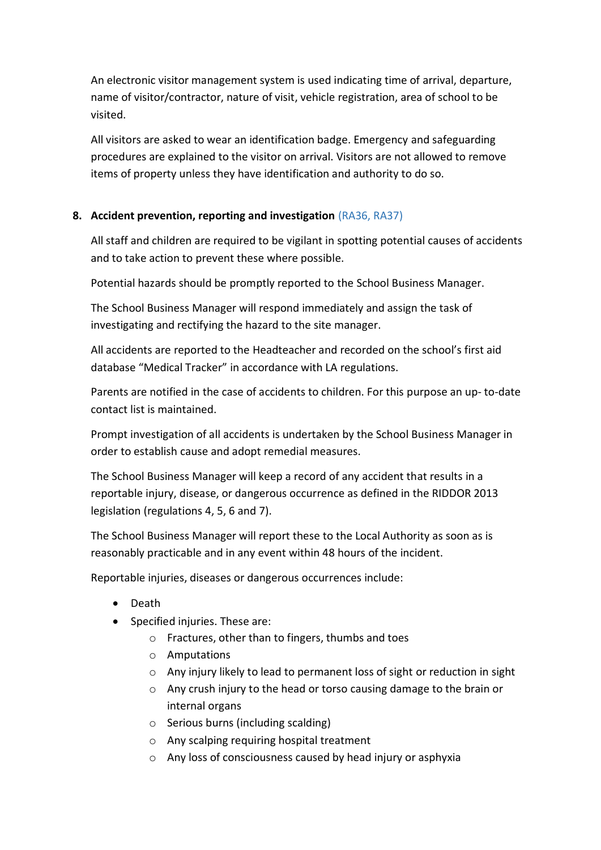An electronic visitor management system is used indicating time of arrival, departure, name of visitor/contractor, nature of visit, vehicle registration, area of school to be visited.

All visitors are asked to wear an identification badge. Emergency and safeguarding procedures are explained to the visitor on arrival. Visitors are not allowed to remove items of property unless they have identification and authority to do so.

## **8. Accident prevention, reporting and investigation** (RA36, RA37)

All staff and children are required to be vigilant in spotting potential causes of accidents and to take action to prevent these where possible.

Potential hazards should be promptly reported to the School Business Manager.

The School Business Manager will respond immediately and assign the task of investigating and rectifying the hazard to the site manager.

All accidents are reported to the Headteacher and recorded on the school's first aid database "Medical Tracker" in accordance with LA regulations.

Parents are notified in the case of accidents to children. For this purpose an up- to-date contact list is maintained.

Prompt investigation of all accidents is undertaken by the School Business Manager in order to establish cause and adopt remedial measures.

The School Business Manager will keep a record of any accident that results in a reportable injury, disease, or dangerous occurrence as defined in the RIDDOR 2013 legislation (regulations 4, 5, 6 and 7).

The School Business Manager will report these to the Local Authority as soon as is reasonably practicable and in any event within 48 hours of the incident.

Reportable injuries, diseases or dangerous occurrences include:

- Death
- Specified injuries. These are:
	- o Fractures, other than to fingers, thumbs and toes
	- o Amputations
	- o Any injury likely to lead to permanent loss of sight or reduction in sight
	- o Any crush injury to the head or torso causing damage to the brain or internal organs
	- o Serious burns (including scalding)
	- o Any scalping requiring hospital treatment
	- o Any loss of consciousness caused by head injury or asphyxia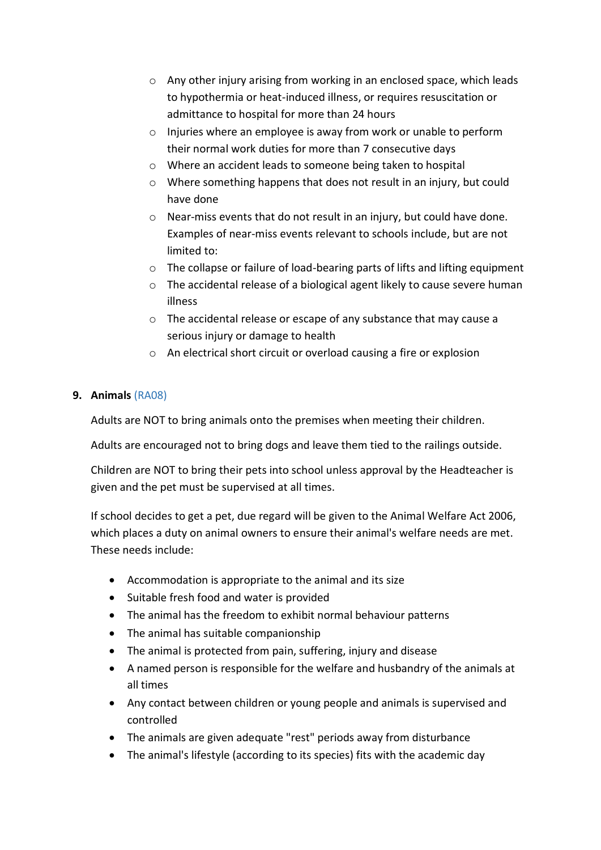- o Any other injury arising from working in an enclosed space, which leads to hypothermia or heat-induced illness, or requires resuscitation or admittance to hospital for more than 24 hours
- o Injuries where an employee is away from work or unable to perform their normal work duties for more than 7 consecutive days
- o Where an accident leads to someone being taken to hospital
- o Where something happens that does not result in an injury, but could have done
- o Near-miss events that do not result in an injury, but could have done. Examples of near-miss events relevant to schools include, but are not limited to:
- o The collapse or failure of load-bearing parts of lifts and lifting equipment
- o The accidental release of a biological agent likely to cause severe human illness
- o The accidental release or escape of any substance that may cause a serious injury or damage to health
- o An electrical short circuit or overload causing a fire or explosion

## **9. Animals** (RA08)

Adults are NOT to bring animals onto the premises when meeting their children.

Adults are encouraged not to bring dogs and leave them tied to the railings outside.

Children are NOT to bring their pets into school unless approval by the Headteacher is given and the pet must be supervised at all times.

If school decides to get a pet, due regard will be given to the Animal Welfare Act 2006, which places a duty on animal owners to ensure their animal's welfare needs are met. These needs include:

- Accommodation is appropriate to the animal and its size
- Suitable fresh food and water is provided
- The animal has the freedom to exhibit normal behaviour patterns
- The animal has suitable companionship
- The animal is protected from pain, suffering, injury and disease
- A named person is responsible for the welfare and husbandry of the animals at all times
- Any contact between children or young people and animals is supervised and controlled
- The animals are given adequate "rest" periods away from disturbance
- The animal's lifestyle (according to its species) fits with the academic day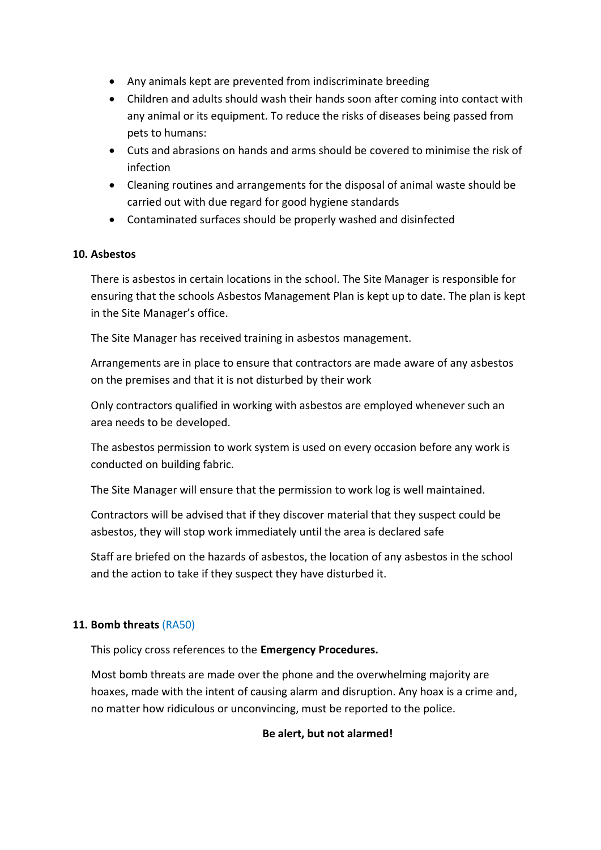- Any animals kept are prevented from indiscriminate breeding
- Children and adults should wash their hands soon after coming into contact with any animal or its equipment. To reduce the risks of diseases being passed from pets to humans:
- Cuts and abrasions on hands and arms should be covered to minimise the risk of infection
- Cleaning routines and arrangements for the disposal of animal waste should be carried out with due regard for good hygiene standards
- Contaminated surfaces should be properly washed and disinfected

## **10. Asbestos**

There is asbestos in certain locations in the school. The Site Manager is responsible for ensuring that the schools Asbestos Management Plan is kept up to date. The plan is kept in the Site Manager's office.

The Site Manager has received training in asbestos management.

Arrangements are in place to ensure that contractors are made aware of any asbestos on the premises and that it is not disturbed by their work

Only contractors qualified in working with asbestos are employed whenever such an area needs to be developed.

The asbestos permission to work system is used on every occasion before any work is conducted on building fabric.

The Site Manager will ensure that the permission to work log is well maintained.

Contractors will be advised that if they discover material that they suspect could be asbestos, they will stop work immediately until the area is declared safe

Staff are briefed on the hazards of asbestos, the location of any asbestos in the school and the action to take if they suspect they have disturbed it.

## **11. Bomb threats** (RA50)

This policy cross references to the **Emergency Procedures.**

Most bomb threats are made over the phone and the overwhelming majority are hoaxes, made with the intent of causing alarm and disruption. Any hoax is a crime and, no matter how ridiculous or unconvincing, must be reported to the police.

## **Be alert, but not alarmed!**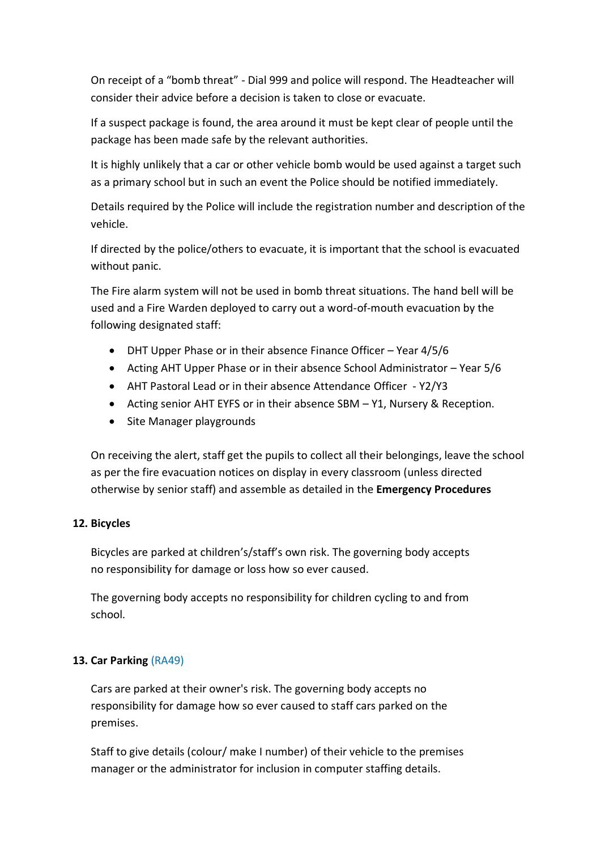On receipt of a "bomb threat" - Dial 999 and police will respond. The Headteacher will consider their advice before a decision is taken to close or evacuate.

If a suspect package is found, the area around it must be kept clear of people until the package has been made safe by the relevant authorities.

It is highly unlikely that a car or other vehicle bomb would be used against a target such as a primary school but in such an event the Police should be notified immediately.

Details required by the Police will include the registration number and description of the vehicle.

If directed by the police/others to evacuate, it is important that the school is evacuated without panic.

The Fire alarm system will not be used in bomb threat situations. The hand bell will be used and a Fire Warden deployed to carry out a word-of-mouth evacuation by the following designated staff:

- DHT Upper Phase or in their absence Finance Officer Year 4/5/6
- Acting AHT Upper Phase or in their absence School Administrator Year 5/6
- AHT Pastoral Lead or in their absence Attendance Officer Y2/Y3
- Acting senior AHT EYFS or in their absence SBM Y1, Nursery & Reception.
- Site Manager playgrounds

On receiving the alert, staff get the pupils to collect all their belongings, leave the school as per the fire evacuation notices on display in every classroom (unless directed otherwise by senior staff) and assemble as detailed in the **Emergency Procedures**

## **12. Bicycles**

Bicycles are parked at children's/staff's own risk. The governing body accepts no responsibility for damage or loss how so ever caused.

The governing body accepts no responsibility for children cycling to and from school.

## **13. Car Parking** (RA49)

Cars are parked at their owner's risk. The governing body accepts no responsibility for damage how so ever caused to staff cars parked on the premises.

Staff to give details (colour/ make I number) of their vehicle to the premises manager or the administrator for inclusion in computer staffing details.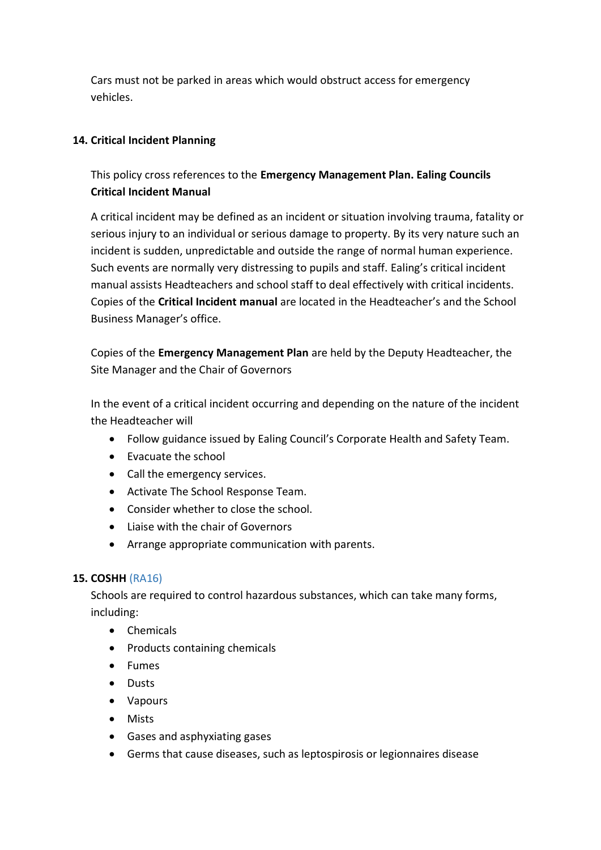Cars must not be parked in areas which would obstruct access for emergency vehicles.

## **14. Critical Incident Planning**

This policy cross references to the **Emergency Management Plan. Ealing Councils Critical Incident Manual**

A critical incident may be defined as an incident or situation involving trauma, fatality or serious injury to an individual or serious damage to property. By its very nature such an incident is sudden, unpredictable and outside the range of normal human experience. Such events are normally very distressing to pupils and staff. Ealing's critical incident manual assists Headteachers and school staff to deal effectively with critical incidents. Copies of the **Critical Incident manual** are located in the Headteacher's and the School Business Manager's office.

Copies of the **Emergency Management Plan** are held by the Deputy Headteacher, the Site Manager and the Chair of Governors

In the event of a critical incident occurring and depending on the nature of the incident the Headteacher will

- Follow guidance issued by Ealing Council's Corporate Health and Safety Team.
- Evacuate the school
- Call the emergency services.
- Activate The School Response Team.
- Consider whether to close the school.
- $\bullet$  Liaise with the chair of Governors
- Arrange appropriate communication with parents.

## **15. COSHH** (RA16)

Schools are required to control hazardous substances, which can take many forms, including:

- Chemicals
- Products containing chemicals
- Fumes
- **•** Dusts
- Vapours
- Mists
- Gases and asphyxiating gases
- Germs that cause diseases, such as leptospirosis or legionnaires disease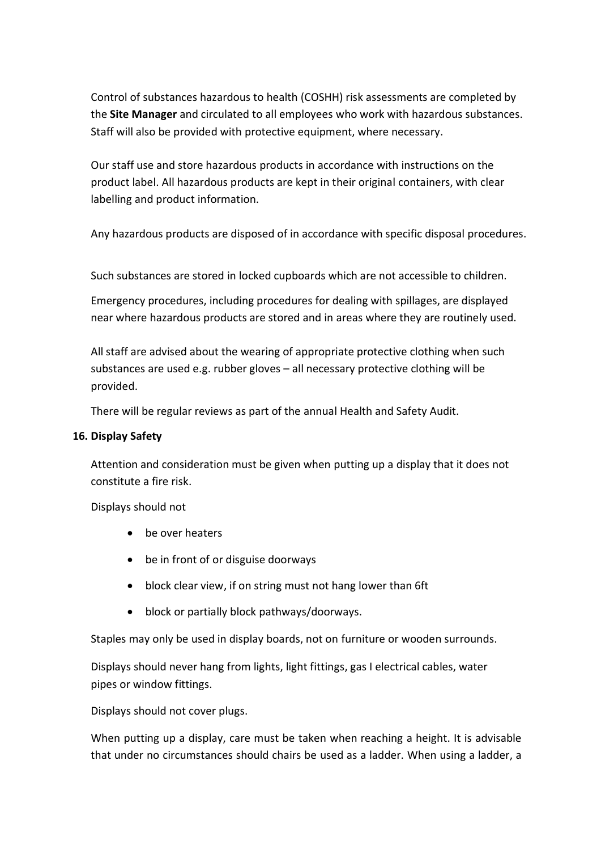Control of substances hazardous to health (COSHH) risk assessments are completed by the **Site Manager** and circulated to all employees who work with hazardous substances. Staff will also be provided with protective equipment, where necessary.

Our staff use and store hazardous products in accordance with instructions on the product label. All hazardous products are kept in their original containers, with clear labelling and product information.

Any hazardous products are disposed of in accordance with specific disposal procedures.

Such substances are stored in locked cupboards which are not accessible to children.

Emergency procedures, including procedures for dealing with spillages, are displayed near where hazardous products are stored and in areas where they are routinely used.

All staff are advised about the wearing of appropriate protective clothing when such substances are used e.g. rubber gloves – all necessary protective clothing will be provided.

There will be regular reviews as part of the annual Health and Safety Audit.

#### **16. Display Safety**

Attention and consideration must be given when putting up a display that it does not constitute a fire risk.

Displays should not

- be over heaters
- be in front of or disguise doorways
- block clear view, if on string must not hang lower than 6ft
- block or partially block pathways/doorways.

Staples may only be used in display boards, not on furniture or wooden surrounds.

Displays should never hang from lights, light fittings, gas I electrical cables, water pipes or window fittings.

Displays should not cover plugs.

When putting up a display, care must be taken when reaching a height. It is advisable that under no circumstances should chairs be used as a ladder. When using a ladder, a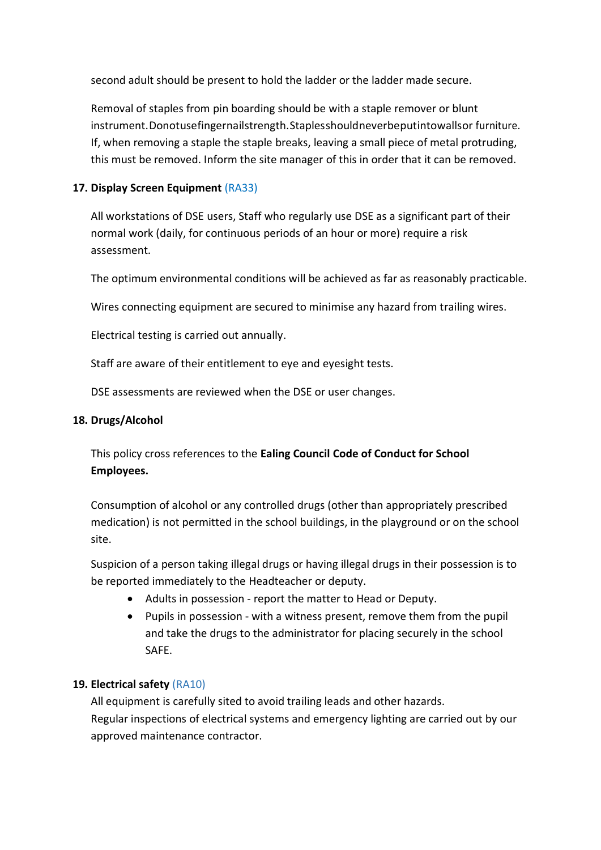second adult should be present to hold the ladder or the ladder made secure.

Removal of staples from pin boarding should be with a staple remover or blunt instrument.Donotusefingernailstrength.Staplesshouldneverbeputintowallsor furniture. If, when removing a staple the staple breaks, leaving a small piece of metal protruding, this must be removed. Inform the site manager of this in order that it can be removed.

## **17. Display Screen Equipment** (RA33)

All workstations of DSE users, Staff who regularly use DSE as a significant part of their normal work (daily, for continuous periods of an hour or more) require a risk assessment.

The optimum environmental conditions will be achieved as far as reasonably practicable.

Wires connecting equipment are secured to minimise any hazard from trailing wires.

Electrical testing is carried out annually.

Staff are aware of their entitlement to eye and eyesight tests.

DSE assessments are reviewed when the DSE or user changes.

#### **18. Drugs/Alcohol**

This policy cross references to the **Ealing Council Code of Conduct for School Employees.**

Consumption of alcohol or any controlled drugs (other than appropriately prescribed medication) is not permitted in the school buildings, in the playground or on the school site.

Suspicion of a person taking illegal drugs or having illegal drugs in their possession is to be reported immediately to the Headteacher or deputy.

- Adults in possession report the matter to Head or Deputy.
- Pupils in possession with a witness present, remove them from the pupil and take the drugs to the administrator for placing securely in the school SAFE.

## **19. Electrical safety** (RA10)

All equipment is carefully sited to avoid trailing leads and other hazards. Regular inspections of electrical systems and emergency lighting are carried out by our approved maintenance contractor.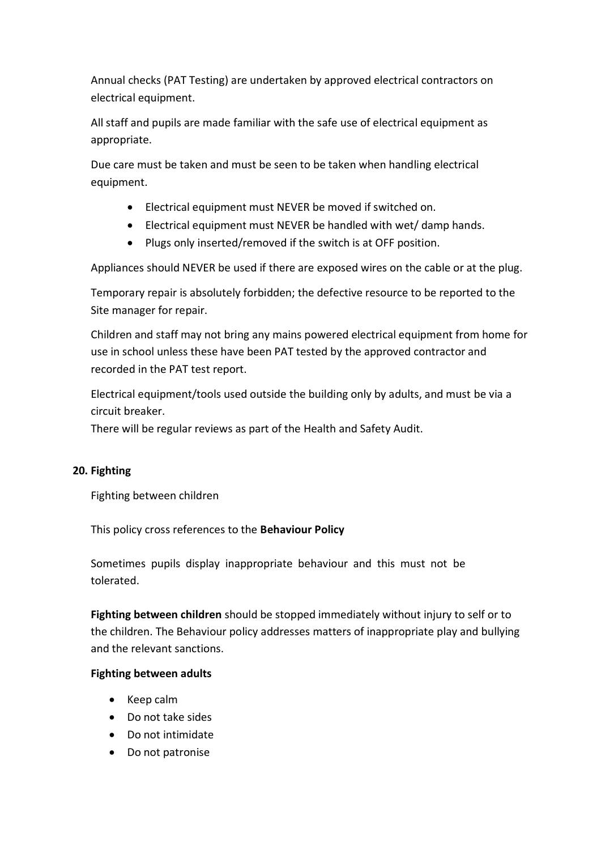Annual checks (PAT Testing) are undertaken by approved electrical contractors on electrical equipment.

All staff and pupils are made familiar with the safe use of electrical equipment as appropriate.

Due care must be taken and must be seen to be taken when handling electrical equipment.

- Electrical equipment must NEVER be moved if switched on.
- Electrical equipment must NEVER be handled with wet/ damp hands.
- Plugs only inserted/removed if the switch is at OFF position.

Appliances should NEVER be used if there are exposed wires on the cable or at the plug.

Temporary repair is absolutely forbidden; the defective resource to be reported to the Site manager for repair.

Children and staff may not bring any mains powered electrical equipment from home for use in school unless these have been PAT tested by the approved contractor and recorded in the PAT test report.

Electrical equipment/tools used outside the building only by adults, and must be via a circuit breaker.

There will be regular reviews as part of the Health and Safety Audit.

## **20. Fighting**

Fighting between children

This policy cross references to the **Behaviour Policy**

Sometimes pupils display inappropriate behaviour and this must not be tolerated.

**Fighting between children** should be stopped immediately without injury to self or to the children. The Behaviour policy addresses matters of inappropriate play and bullying and the relevant sanctions.

## **Fighting between adults**

- Keep calm
- Do not take sides
- Do not intimidate
- Do not patronise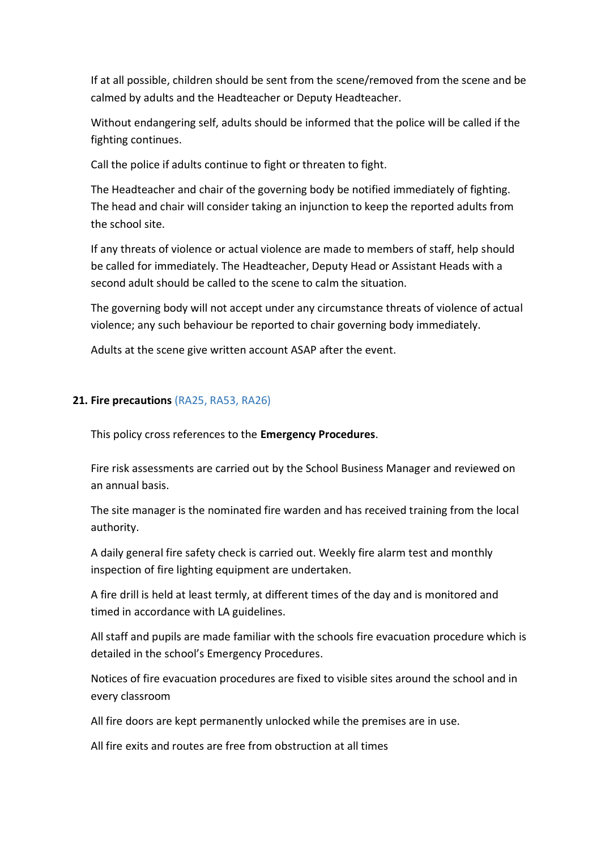If at all possible, children should be sent from the scene/removed from the scene and be calmed by adults and the Headteacher or Deputy Headteacher.

Without endangering self, adults should be informed that the police will be called if the fighting continues.

Call the police if adults continue to fight or threaten to fight.

The Headteacher and chair of the governing body be notified immediately of fighting. The head and chair will consider taking an injunction to keep the reported adults from the school site.

If any threats of violence or actual violence are made to members of staff, help should be called for immediately. The Headteacher, Deputy Head or Assistant Heads with a second adult should be called to the scene to calm the situation.

The governing body will not accept under any circumstance threats of violence of actual violence; any such behaviour be reported to chair governing body immediately.

Adults at the scene give written account ASAP after the event.

## **21. Fire precautions** (RA25, RA53, RA26)

This policy cross references to the **Emergency Procedures**.

Fire risk assessments are carried out by the School Business Manager and reviewed on an annual basis.

The site manager is the nominated fire warden and has received training from the local authority.

A daily general fire safety check is carried out. Weekly fire alarm test and monthly inspection of fire lighting equipment are undertaken.

A fire drill is held at least termly, at different times of the day and is monitored and timed in accordance with LA guidelines.

All staff and pupils are made familiar with the schools fire evacuation procedure which is detailed in the school's Emergency Procedures.

Notices of fire evacuation procedures are fixed to visible sites around the school and in every classroom

All fire doors are kept permanently unlocked while the premises are in use.

All fire exits and routes are free from obstruction at all times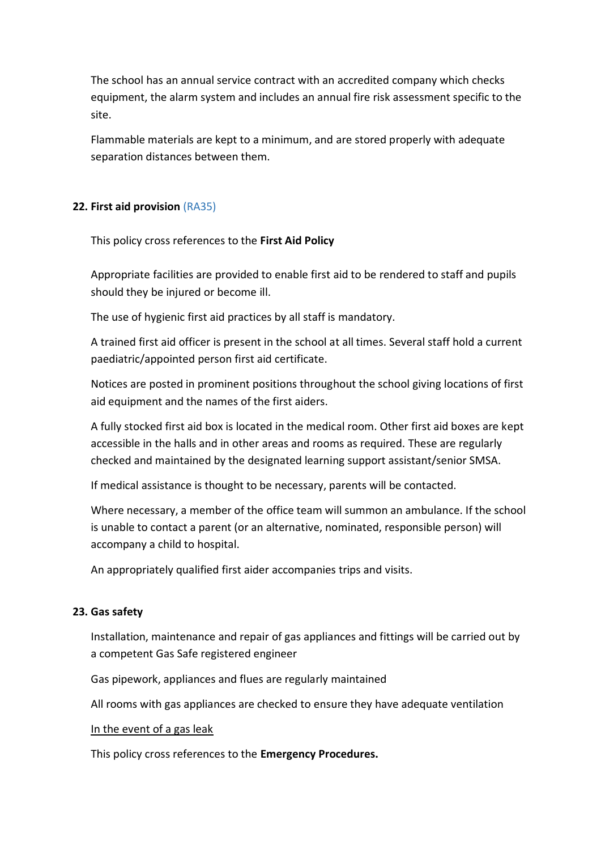The school has an annual service contract with an accredited company which checks equipment, the alarm system and includes an annual fire risk assessment specific to the site.

Flammable materials are kept to a minimum, and are stored properly with adequate separation distances between them.

## **22. First aid provision** (RA35)

This policy cross references to the **First Aid Policy**

Appropriate facilities are provided to enable first aid to be rendered to staff and pupils should they be injured or become ill.

The use of hygienic first aid practices by all staff is mandatory.

A trained first aid officer is present in the school at all times. Several staff hold a current paediatric/appointed person first aid certificate.

Notices are posted in prominent positions throughout the school giving locations of first aid equipment and the names of the first aiders.

A fully stocked first aid box is located in the medical room. Other first aid boxes are kept accessible in the halls and in other areas and rooms as required. These are regularly checked and maintained by the designated learning support assistant/senior SMSA.

If medical assistance is thought to be necessary, parents will be contacted.

Where necessary, a member of the office team will summon an ambulance. If the school is unable to contact a parent (or an alternative, nominated, responsible person) will accompany a child to hospital.

An appropriately qualified first aider accompanies trips and visits.

#### **23. Gas safety**

Installation, maintenance and repair of gas appliances and fittings will be carried out by a competent Gas Safe registered engineer

Gas pipework, appliances and flues are regularly maintained

All rooms with gas appliances are checked to ensure they have adequate ventilation

In the event of a gas leak

This policy cross references to the **Emergency Procedures.**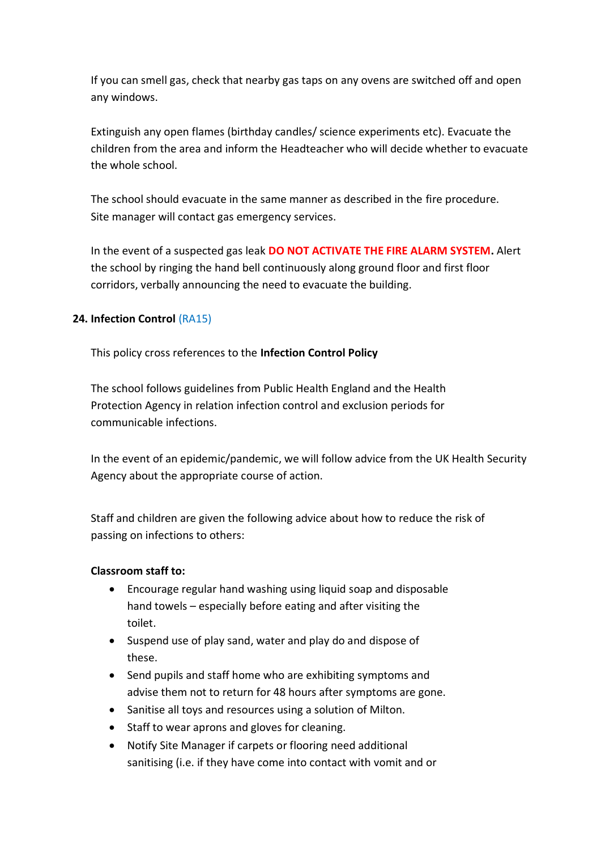If you can smell gas, check that nearby gas taps on any ovens are switched off and open any windows.

Extinguish any open flames (birthday candles/ science experiments etc). Evacuate the children from the area and inform the Headteacher who will decide whether to evacuate the whole school.

The school should evacuate in the same manner as described in the fire procedure. Site manager will contact gas emergency services.

In the event of a suspected gas leak **DO NOT ACTIVATE THE FIRE ALARM SYSTEM.** Alert the school by ringing the hand bell continuously along ground floor and first floor corridors, verbally announcing the need to evacuate the building.

## **24. Infection Control** (RA15)

This policy cross references to the **Infection Control Policy**

The school follows guidelines from Public Health England and the Health Protection Agency in relation infection control and exclusion periods for communicable infections.

In the event of an epidemic/pandemic, we will follow advice from the UK Health Security Agency about the appropriate course of action.

Staff and children are given the following advice about how to reduce the risk of passing on infections to others:

## **Classroom staff to:**

- Encourage regular hand washing using liquid soap and disposable hand towels – especially before eating and after visiting the toilet.
- Suspend use of play sand, water and play do and dispose of these.
- Send pupils and staff home who are exhibiting symptoms and advise them not to return for 48 hours after symptoms are gone.
- Sanitise all toys and resources using a solution of Milton.
- Staff to wear aprons and gloves for cleaning.
- Notify Site Manager if carpets or flooring need additional sanitising (i.e. if they have come into contact with vomit and or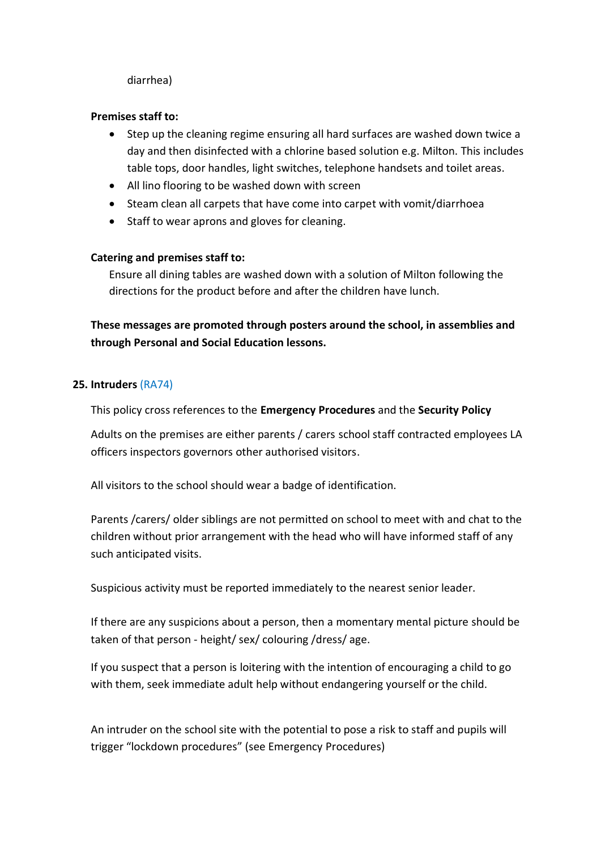#### diarrhea)

#### **Premises staff to:**

- Step up the cleaning regime ensuring all hard surfaces are washed down twice a day and then disinfected with a chlorine based solution e.g. Milton. This includes table tops, door handles, light switches, telephone handsets and toilet areas.
- All lino flooring to be washed down with screen
- Steam clean all carpets that have come into carpet with vomit/diarrhoea
- Staff to wear aprons and gloves for cleaning.

## **Catering and premises staff to:**

Ensure all dining tables are washed down with a solution of Milton following the directions for the product before and after the children have lunch.

**These messages are promoted through posters around the school, in assemblies and through Personal and Social Education lessons.**

#### **25. Intruders** (RA74)

This policy cross references to the **Emergency Procedures** and the **Security Policy**

Adults on the premises are either parents / carers school staff contracted employees LA officers inspectors governors other authorised visitors.

All visitors to the school should wear a badge of identification.

Parents /carers/ older siblings are not permitted on school to meet with and chat to the children without prior arrangement with the head who will have informed staff of any such anticipated visits.

Suspicious activity must be reported immediately to the nearest senior leader.

If there are any suspicions about a person, then a momentary mental picture should be taken of that person - height/ sex/ colouring /dress/ age.

If you suspect that a person is loitering with the intention of encouraging a child to go with them, seek immediate adult help without endangering yourself or the child.

An intruder on the school site with the potential to pose a risk to staff and pupils will trigger "lockdown procedures" (see Emergency Procedures)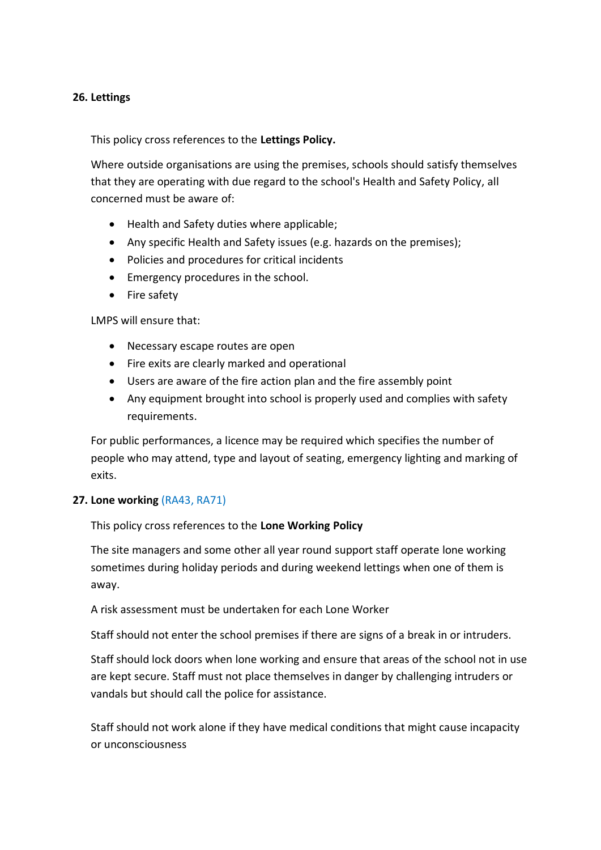#### **26. Lettings**

#### This policy cross references to the **Lettings Policy.**

Where outside organisations are using the premises, schools should satisfy themselves that they are operating with due regard to the school's Health and Safety Policy, all concerned must be aware of:

- Health and Safety duties where applicable;
- Any specific Health and Safety issues (e.g. hazards on the premises);
- Policies and procedures for critical incidents
- Emergency procedures in the school.
- Fire safety

#### LMPS will ensure that:

- Necessary escape routes are open
- Fire exits are clearly marked and operational
- Users are aware of the fire action plan and the fire assembly point
- Any equipment brought into school is properly used and complies with safety requirements.

For public performances, a licence may be required which specifies the number of people who may attend, type and layout of seating, emergency lighting and marking of exits.

## **27. Lone working** (RA43, RA71)

This policy cross references to the **Lone Working Policy** 

The site managers and some other all year round support staff operate lone working sometimes during holiday periods and during weekend lettings when one of them is away.

A risk assessment must be undertaken for each Lone Worker

Staff should not enter the school premises if there are signs of a break in or intruders.

Staff should lock doors when lone working and ensure that areas of the school not in use are kept secure. Staff must not place themselves in danger by challenging intruders or vandals but should call the police for assistance.

Staff should not work alone if they have medical conditions that might cause incapacity or unconsciousness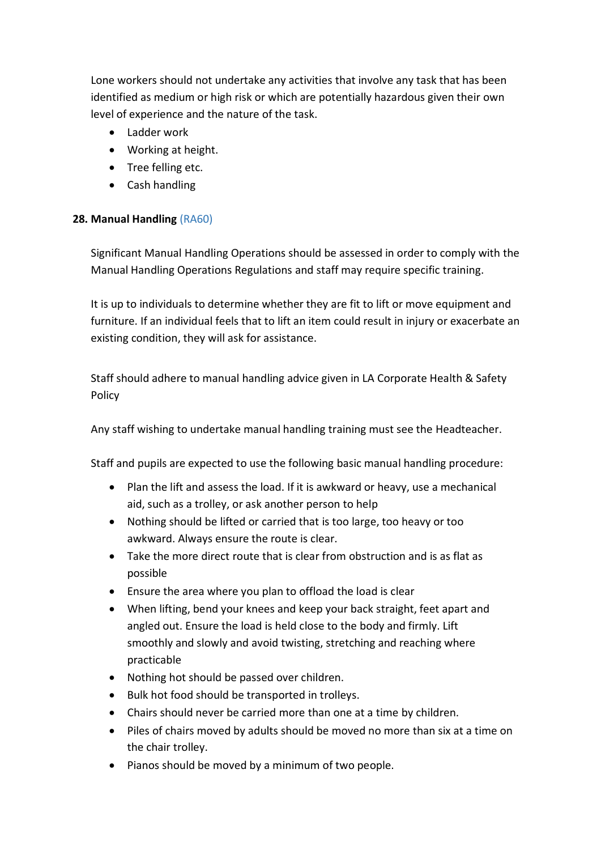Lone workers should not undertake any activities that involve any task that has been identified as medium or high risk or which are potentially hazardous given their own level of experience and the nature of the task.

- Ladder work
- Working at height.
- Tree felling etc.
- Cash handling

## **28. Manual Handling** (RA60)

Significant Manual Handling Operations should be assessed in order to comply with the Manual Handling Operations Regulations and staff may require specific training.

It is up to individuals to determine whether they are fit to lift or move equipment and furniture. If an individual feels that to lift an item could result in injury or exacerbate an existing condition, they will ask for assistance.

Staff should adhere to manual handling advice given in LA Corporate Health & Safety Policy

Any staff wishing to undertake manual handling training must see the Headteacher.

Staff and pupils are expected to use the following basic manual handling procedure:

- Plan the lift and assess the load. If it is awkward or heavy, use a mechanical aid, such as a trolley, or ask another person to help
- Nothing should be lifted or carried that is too large, too heavy or too awkward. Always ensure the route is clear.
- Take the more direct route that is clear from obstruction and is as flat as possible
- Ensure the area where you plan to offload the load is clear
- When lifting, bend your knees and keep your back straight, feet apart and angled out. Ensure the load is held close to the body and firmly. Lift smoothly and slowly and avoid twisting, stretching and reaching where practicable
- Nothing hot should be passed over children.
- Bulk hot food should be transported in trolleys.
- Chairs should never be carried more than one at a time by children.
- Piles of chairs moved by adults should be moved no more than six at a time on the chair trolley.
- Pianos should be moved by a minimum of two people.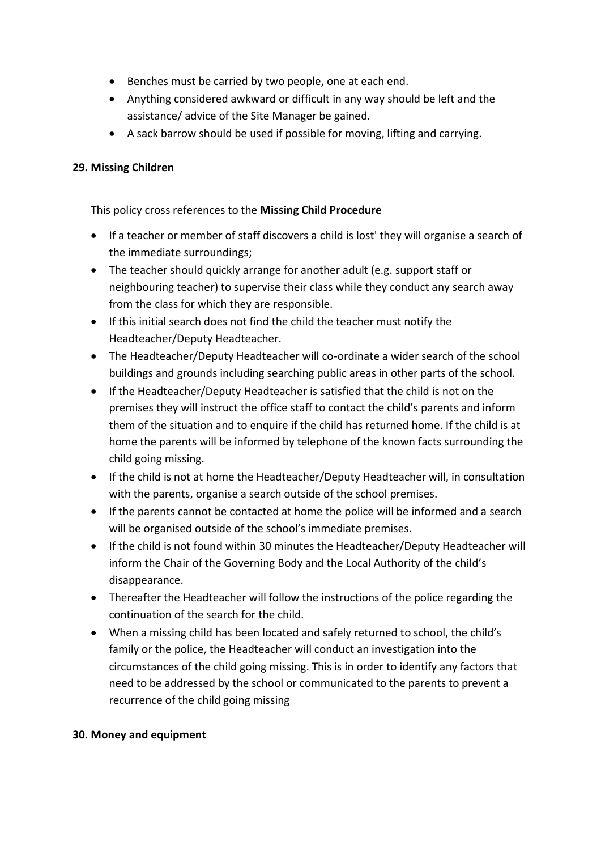- Benches must be carried by two people, one at each end.
- Anything considered awkward or difficult in any way should be left and the assistance/ advice of the Site Manager be gained.
- A sack barrow should be used if possible for moving, lifting and carrying.

## **29. Missing Children**

This policy cross references to the **Missing Child Procedure**

- If a teacher or member of staff discovers a child is lost' they will organise a search of the immediate surroundings;
- The teacher should quickly arrange for another adult (e.g. support staff or neighbouring teacher) to supervise their class while they conduct any search away from the class for which they are responsible.
- If this initial search does not find the child the teacher must notify the Headteacher/Deputy Headteacher.
- The Headteacher/Deputy Headteacher will co-ordinate a wider search of the school buildings and grounds including searching public areas in other parts of the school.
- If the Headteacher/Deputy Headteacher is satisfied that the child is not on the premises they will instruct the office staff to contact the child's parents and inform them of the situation and to enquire if the child has returned home. If the child is at home the parents will be informed by telephone of the known facts surrounding the child going missing.
- If the child is not at home the Headteacher/Deputy Headteacher will, in consultation with the parents, organise a search outside of the school premises.
- If the parents cannot be contacted at home the police will be informed and a search will be organised outside of the school's immediate premises.
- If the child is not found within 30 minutes the Headteacher/Deputy Headteacher will inform the Chair of the Governing Body and the Local Authority of the child's disappearance.
- Thereafter the Headteacher will follow the instructions of the police regarding the continuation of the search for the child.
- When a missing child has been located and safely returned to school, the child's family or the police, the Headteacher will conduct an investigation into the circumstances of the child going missing. This is in order to identify any factors that need to be addressed by the school or communicated to the parents to prevent a recurrence of the child going missing

## **30. Money and equipment**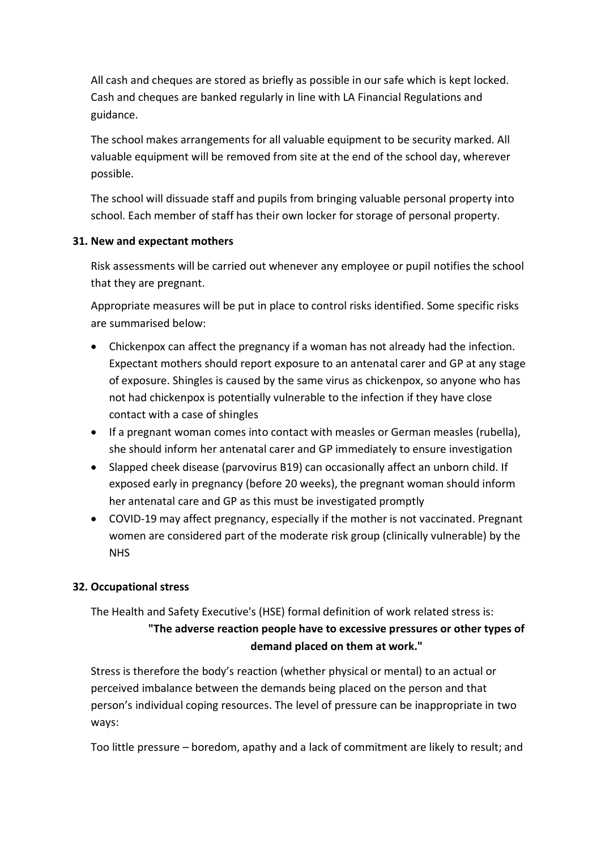All cash and cheques are stored as briefly as possible in our safe which is kept locked. Cash and cheques are banked regularly in line with LA Financial Regulations and guidance.

The school makes arrangements for all valuable equipment to be security marked. All valuable equipment will be removed from site at the end of the school day, wherever possible.

The school will dissuade staff and pupils from bringing valuable personal property into school. Each member of staff has their own locker for storage of personal property.

## **31. New and expectant mothers**

Risk assessments will be carried out whenever any employee or pupil notifies the school that they are pregnant.

Appropriate measures will be put in place to control risks identified. Some specific risks are summarised below:

- Chickenpox can affect the pregnancy if a woman has not already had the infection. Expectant mothers should report exposure to an antenatal carer and GP at any stage of exposure. Shingles is caused by the same virus as chickenpox, so anyone who has not had chickenpox is potentially vulnerable to the infection if they have close contact with a case of shingles
- If a pregnant woman comes into contact with measles or German measles (rubella), she should inform her antenatal carer and GP immediately to ensure investigation
- Slapped cheek disease (parvovirus B19) can occasionally affect an unborn child. If exposed early in pregnancy (before 20 weeks), the pregnant woman should inform her antenatal care and GP as this must be investigated promptly
- COVID-19 may affect pregnancy, especially if the mother is not vaccinated. Pregnant women are considered part of the moderate risk group (clinically vulnerable) by the NHS

## **32. Occupational stress**

## The Health and Safety Executive's (HSE) formal definition of work related stress is: **"The adverse reaction people have to excessive pressures or other types of demand placed on them at work."**

Stress is therefore the body's reaction (whether physical or mental) to an actual or perceived imbalance between the demands being placed on the person and that person's individual coping resources. The level of pressure can be inappropriate in two ways:

Too little pressure – boredom, apathy and a lack of commitment are likely to result; and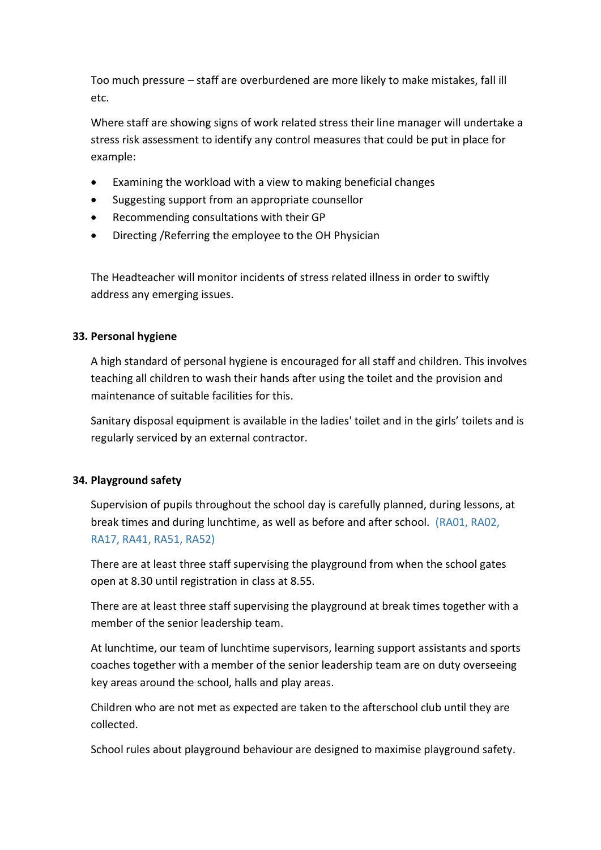Too much pressure – staff are overburdened are more likely to make mistakes, fall ill etc.

Where staff are showing signs of work related stress their line manager will undertake a stress risk assessment to identify any control measures that could be put in place for example:

- Examining the workload with a view to making beneficial changes
- Suggesting support from an appropriate counsellor
- Recommending consultations with their GP
- Directing / Referring the employee to the OH Physician

The Headteacher will monitor incidents of stress related illness in order to swiftly address any emerging issues.

## **33. Personal hygiene**

A high standard of personal hygiene is encouraged for all staff and children. This involves teaching all children to wash their hands after using the toilet and the provision and maintenance of suitable facilities for this.

Sanitary disposal equipment is available in the ladies' toilet and in the girls' toilets and is regularly serviced by an external contractor.

#### **34. Playground safety**

Supervision of pupils throughout the school day is carefully planned, during lessons, at break times and during lunchtime, as well as before and after school. (RA01, RA02, RA17, RA41, RA51, RA52)

There are at least three staff supervising the playground from when the school gates open at 8.30 until registration in class at 8.55.

There are at least three staff supervising the playground at break times together with a member of the senior leadership team.

At lunchtime, our team of lunchtime supervisors, learning support assistants and sports coaches together with a member of the senior leadership team are on duty overseeing key areas around the school, halls and play areas.

Children who are not met as expected are taken to the afterschool club until they are collected.

School rules about playground behaviour are designed to maximise playground safety.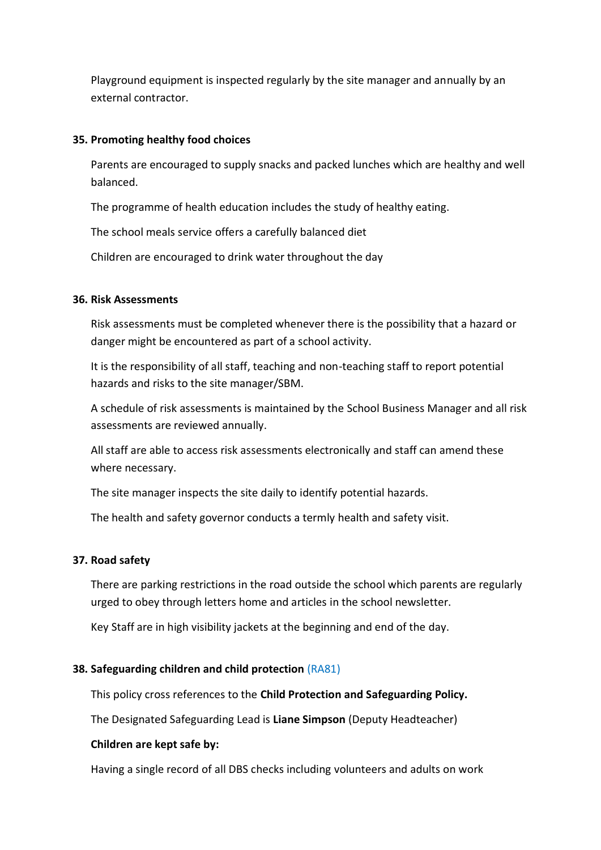Playground equipment is inspected regularly by the site manager and annually by an external contractor.

#### **35. Promoting healthy food choices**

Parents are encouraged to supply snacks and packed lunches which are healthy and well balanced.

The programme of health education includes the study of healthy eating.

The school meals service offers a carefully balanced diet

Children are encouraged to drink water throughout the day

#### **36. Risk Assessments**

Risk assessments must be completed whenever there is the possibility that a hazard or danger might be encountered as part of a school activity.

It is the responsibility of all staff, teaching and non-teaching staff to report potential hazards and risks to the site manager/SBM.

A schedule of risk assessments is maintained by the School Business Manager and all risk assessments are reviewed annually.

All staff are able to access risk assessments electronically and staff can amend these where necessary.

The site manager inspects the site daily to identify potential hazards.

The health and safety governor conducts a termly health and safety visit.

## **37. Road safety**

There are parking restrictions in the road outside the school which parents are regularly urged to obey through letters home and articles in the school newsletter.

Key Staff are in high visibility jackets at the beginning and end of the day.

## **38. Safeguarding children and child protection** (RA81)

This policy cross references to the **Child Protection and Safeguarding Policy.**

The Designated Safeguarding Lead is **Liane Simpson** (Deputy Headteacher)

#### **Children are kept safe by:**

Having a single record of all DBS checks including volunteers and adults on work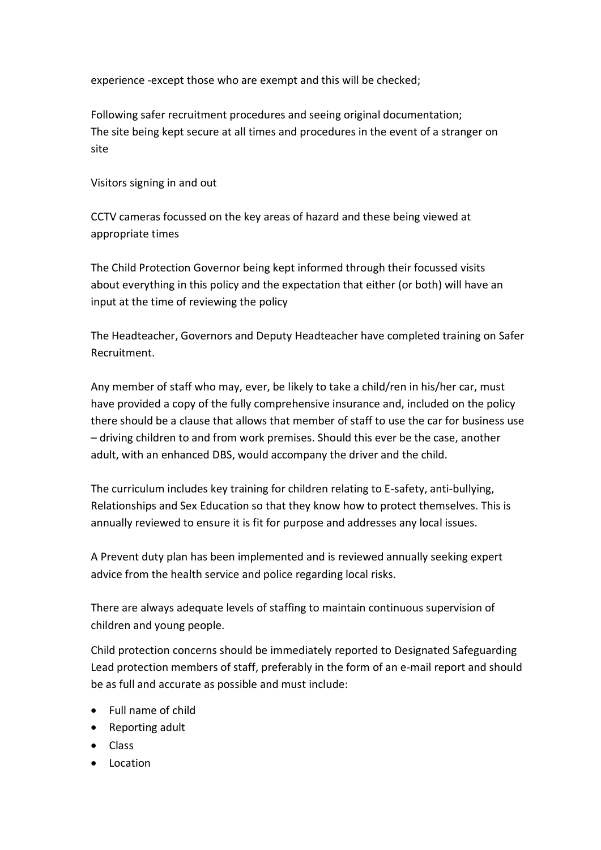experience -except those who are exempt and this will be checked;

Following safer recruitment procedures and seeing original documentation; The site being kept secure at all times and procedures in the event of a stranger on site

Visitors signing in and out

CCTV cameras focussed on the key areas of hazard and these being viewed at appropriate times

The Child Protection Governor being kept informed through their focussed visits about everything in this policy and the expectation that either (or both) will have an input at the time of reviewing the policy

The Headteacher, Governors and Deputy Headteacher have completed training on Safer Recruitment.

Any member of staff who may, ever, be likely to take a child/ren in his/her car, must have provided a copy of the fully comprehensive insurance and, included on the policy there should be a clause that allows that member of staff to use the car for business use – driving children to and from work premises. Should this ever be the case, another adult, with an enhanced DBS, would accompany the driver and the child.

The curriculum includes key training for children relating to E-safety, anti-bullying, Relationships and Sex Education so that they know how to protect themselves. This is annually reviewed to ensure it is fit for purpose and addresses any local issues.

A Prevent duty plan has been implemented and is reviewed annually seeking expert advice from the health service and police regarding local risks.

There are always adequate levels of staffing to maintain continuous supervision of children and young people.

Child protection concerns should be immediately reported to Designated Safeguarding Lead protection members of staff, preferably in the form of an e-mail report and should be as full and accurate as possible and must include:

- Full name of child
- Reporting adult
- Class
- Location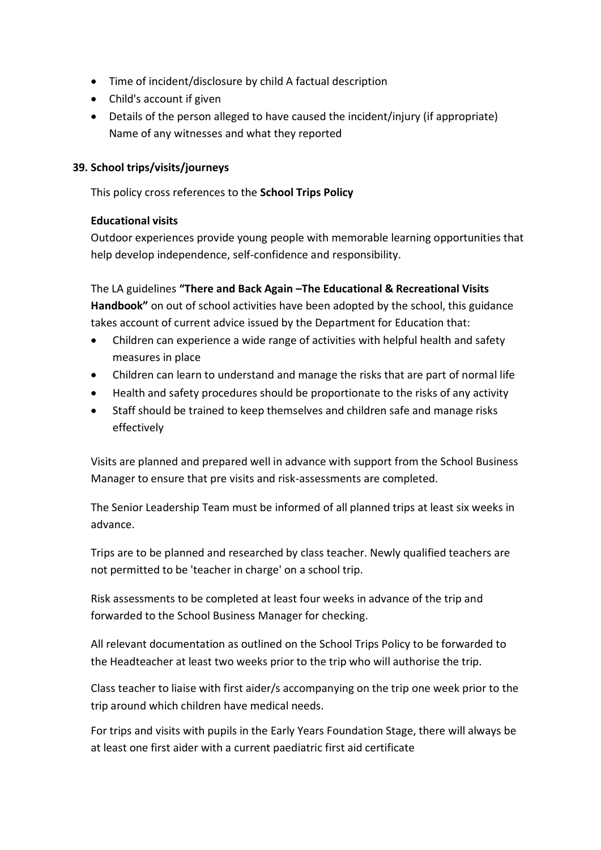- Time of incident/disclosure by child A factual description
- Child's account if given
- Details of the person alleged to have caused the incident/injury (if appropriate) Name of any witnesses and what they reported

#### **39. School trips/visits/journeys**

This policy cross references to the **School Trips Policy**

#### **Educational visits**

Outdoor experiences provide young people with memorable learning opportunities that help develop independence, self-confidence and responsibility.

The LA guidelines **"There and Back Again –The Educational & Recreational Visits Handbook"** on out of school activities have been adopted by the school, this guidance takes account of current advice issued by the Department for Education that:

- Children can experience a wide range of activities with helpful health and safety measures in place
- Children can learn to understand and manage the risks that are part of normal life
- Health and safety procedures should be proportionate to the risks of any activity
- Staff should be trained to keep themselves and children safe and manage risks effectively

Visits are planned and prepared well in advance with support from the School Business Manager to ensure that pre visits and risk-assessments are completed.

The Senior Leadership Team must be informed of all planned trips at least six weeks in advance.

Trips are to be planned and researched by class teacher. Newly qualified teachers are not permitted to be 'teacher in charge' on a school trip.

Risk assessments to be completed at least four weeks in advance of the trip and forwarded to the School Business Manager for checking.

All relevant documentation as outlined on the School Trips Policy to be forwarded to the Headteacher at least two weeks prior to the trip who will authorise the trip.

Class teacher to liaise with first aider/s accompanying on the trip one week prior to the trip around which children have medical needs.

For trips and visits with pupils in the Early Years Foundation Stage, there will always be at least one first aider with a current paediatric first aid certificate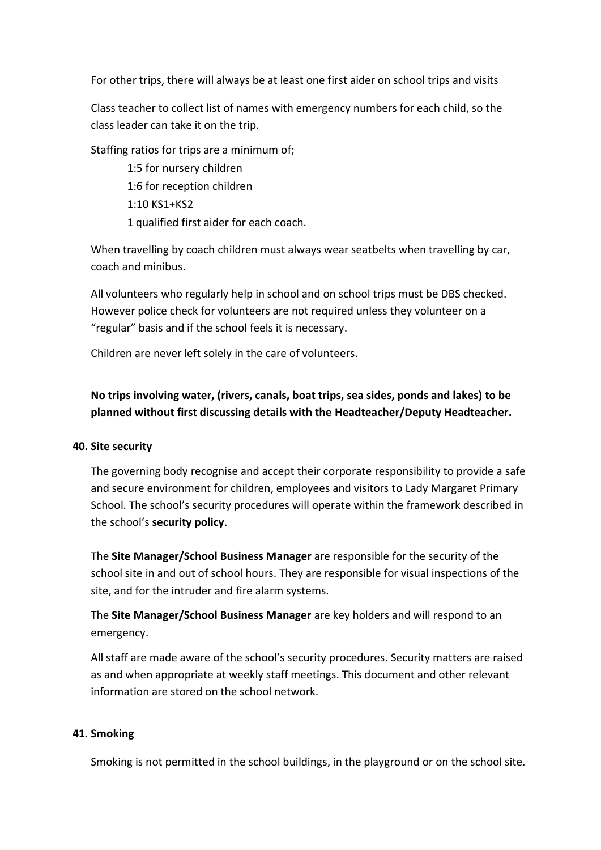For other trips, there will always be at least one first aider on school trips and visits

Class teacher to collect list of names with emergency numbers for each child, so the class leader can take it on the trip.

Staffing ratios for trips are a minimum of;

1:5 for nursery children 1:6 for reception children 1:10 KS1+KS2 1 qualified first aider for each coach.

When travelling by coach children must always wear seatbelts when travelling by car, coach and minibus.

All volunteers who regularly help in school and on school trips must be DBS checked. However police check for volunteers are not required unless they volunteer on a "regular" basis and if the school feels it is necessary.

Children are never left solely in the care of volunteers.

## **No trips involving water, (rivers, canals, boat trips, sea sides, ponds and lakes) to be planned without first discussing details with the Headteacher/Deputy Headteacher.**

#### **40. Site security**

The governing body recognise and accept their corporate responsibility to provide a safe and secure environment for children, employees and visitors to Lady Margaret Primary School. The school's security procedures will operate within the framework described in the school's **security policy**.

The **Site Manager/School Business Manager** are responsible for the security of the school site in and out of school hours. They are responsible for visual inspections of the site, and for the intruder and fire alarm systems.

The **Site Manager/School Business Manager** are key holders and will respond to an emergency.

All staff are made aware of the school's security procedures. Security matters are raised as and when appropriate at weekly staff meetings. This document and other relevant information are stored on the school network.

## **41. Smoking**

Smoking is not permitted in the school buildings, in the playground or on the school site.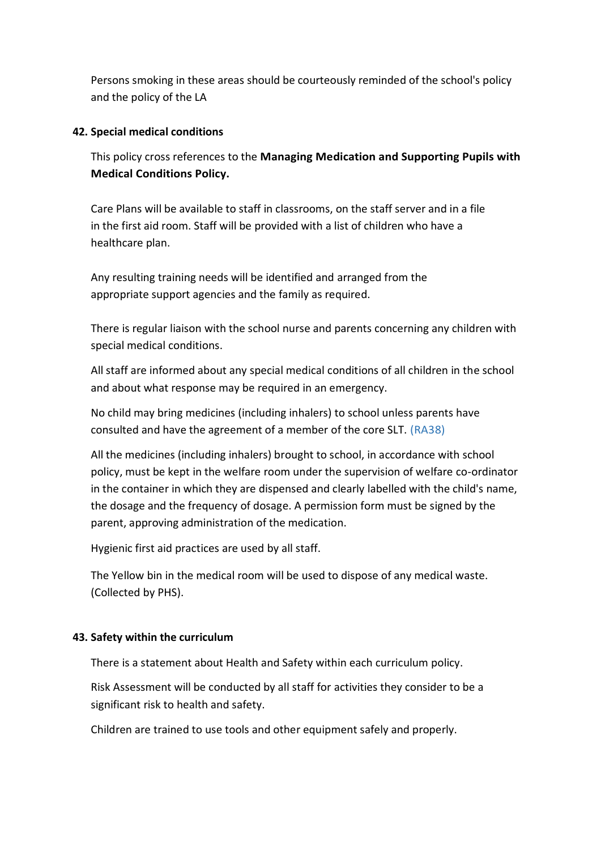Persons smoking in these areas should be courteously reminded of the school's policy and the policy of the LA

#### **42. Special medical conditions**

This policy cross references to the **Managing Medication and Supporting Pupils with Medical Conditions Policy.**

Care Plans will be available to staff in classrooms, on the staff server and in a file in the first aid room. Staff will be provided with a list of children who have a healthcare plan.

Any resulting training needs will be identified and arranged from the appropriate support agencies and the family as required.

There is regular liaison with the school nurse and parents concerning any children with special medical conditions.

All staff are informed about any special medical conditions of all children in the school and about what response may be required in an emergency.

No child may bring medicines (including inhalers) to school unless parents have consulted and have the agreement of a member of the core SLT. (RA38)

All the medicines (including inhalers) brought to school, in accordance with school policy, must be kept in the welfare room under the supervision of welfare co-ordinator in the container in which they are dispensed and clearly labelled with the child's name, the dosage and the frequency of dosage. A permission form must be signed by the parent, approving administration of the medication.

Hygienic first aid practices are used by all staff.

The Yellow bin in the medical room will be used to dispose of any medical waste. (Collected by PHS).

#### **43. Safety within the curriculum**

There is a statement about Health and Safety within each curriculum policy.

Risk Assessment will be conducted by all staff for activities they consider to be a significant risk to health and safety.

Children are trained to use tools and other equipment safely and properly.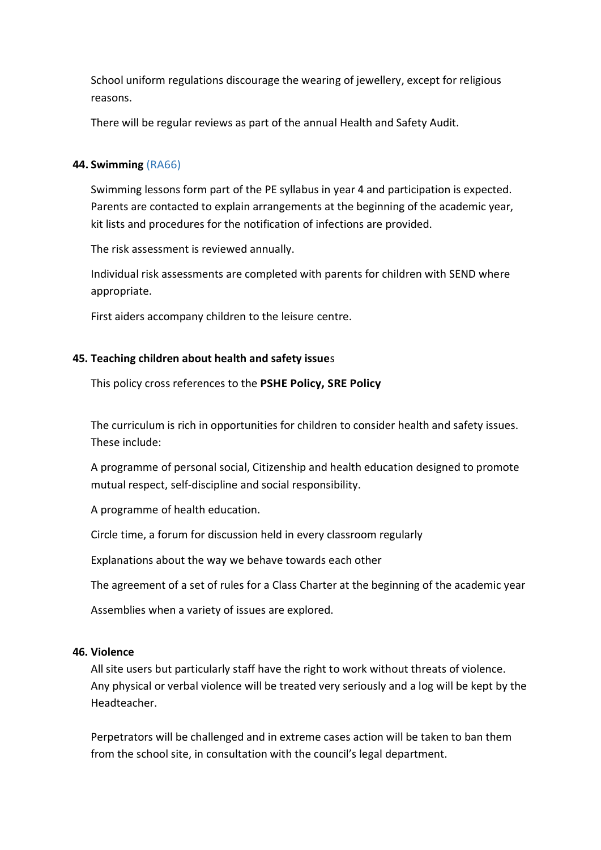School uniform regulations discourage the wearing of jewellery, except for religious reasons.

There will be regular reviews as part of the annual Health and Safety Audit.

#### **44. Swimming** (RA66)

Swimming lessons form part of the PE syllabus in year 4 and participation is expected. Parents are contacted to explain arrangements at the beginning of the academic year, kit lists and procedures for the notification of infections are provided.

The risk assessment is reviewed annually.

Individual risk assessments are completed with parents for children with SEND where appropriate.

First aiders accompany children to the leisure centre.

#### **45. Teaching children about health and safety issue**s

This policy cross references to the **PSHE Policy, SRE Policy**

The curriculum is rich in opportunities for children to consider health and safety issues. These include:

A programme of personal social, Citizenship and health education designed to promote mutual respect, self-discipline and social responsibility.

A programme of health education.

Circle time, a forum for discussion held in every classroom regularly

Explanations about the way we behave towards each other

The agreement of a set of rules for a Class Charter at the beginning of the academic year

Assemblies when a variety of issues are explored.

#### **46. Violence**

All site users but particularly staff have the right to work without threats of violence. Any physical or verbal violence will be treated very seriously and a log will be kept by the Headteacher.

Perpetrators will be challenged and in extreme cases action will be taken to ban them from the school site, in consultation with the council's legal department.